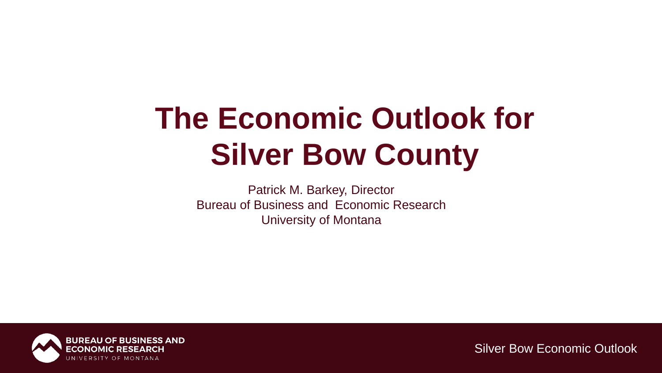# **The Economic Outlook for Silver Bow County**

Patrick M. Barkey, Director Bureau of Business and Economic Research University of Montana

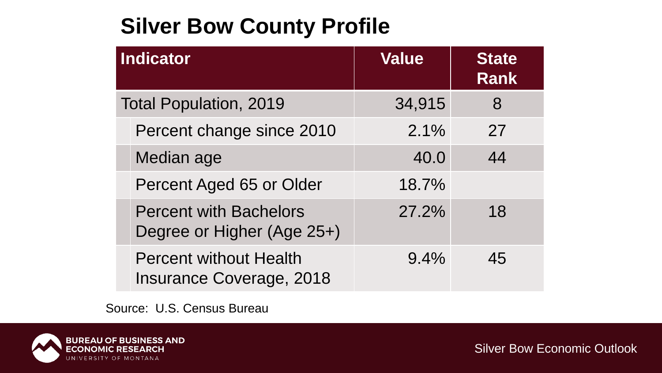### **Silver Bow County Profile**

| <b>Indicator</b>              |                                                                  | <b>Value</b> | <b>State</b><br><b>Rank</b> |
|-------------------------------|------------------------------------------------------------------|--------------|-----------------------------|
| <b>Total Population, 2019</b> |                                                                  | 34,915       | 8                           |
|                               | Percent change since 2010                                        | 2.1%         | 27                          |
|                               | Median age                                                       | 40.0         | 44                          |
|                               | Percent Aged 65 or Older                                         | 18.7%        |                             |
|                               | <b>Percent with Bachelors</b><br>Degree or Higher (Age 25+)      | 27.2%        | 18                          |
|                               | <b>Percent without Health</b><br><b>Insurance Coverage, 2018</b> | 9.4%         | 45                          |

Source: U.S. Census Bureau

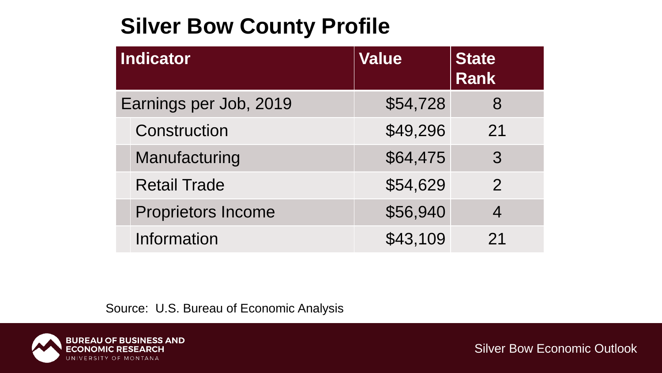### **Silver Bow County Profile**

| <b>Indicator</b>       |                           | <b>Value</b> | <b>State</b><br><b>Rank</b> |
|------------------------|---------------------------|--------------|-----------------------------|
| Earnings per Job, 2019 |                           | \$54,728     | 8                           |
|                        | Construction              | \$49,296     | 21                          |
|                        | Manufacturing             | \$64,475     | 3                           |
|                        | <b>Retail Trade</b>       | \$54,629     | $\overline{2}$              |
|                        | <b>Proprietors Income</b> | \$56,940     |                             |
|                        | Information               | \$43,109     | 21                          |

Source: U.S. Bureau of Economic Analysis

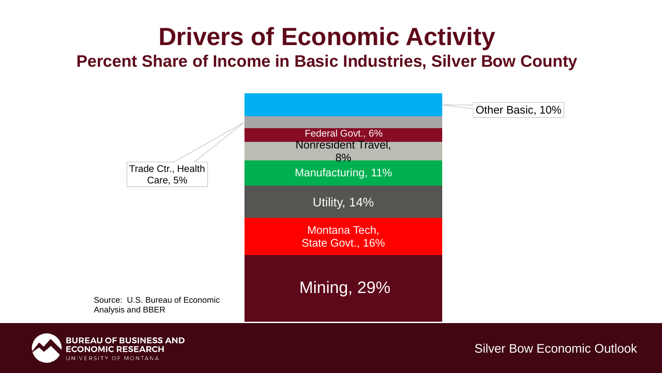# **Drivers of Economic Activity**

**Percent Share of Income in Basic Industries, Silver Bow County**



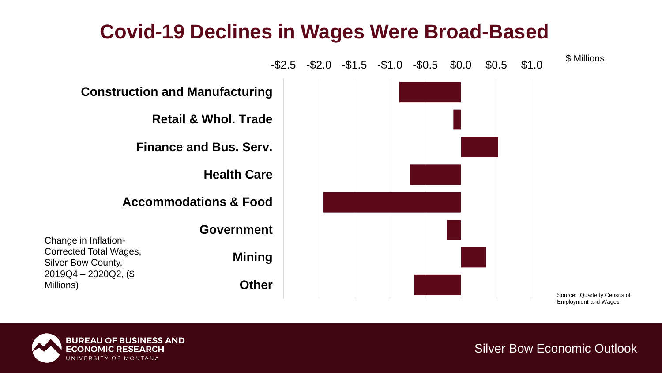#### **Covid-19 Declines in Wages Were Broad-Based**



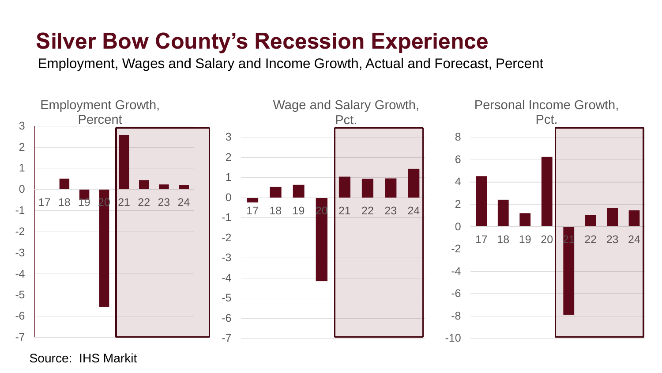## **Silver Bow County's Recession Experience**

Employment, Wages and Salary and Income Growth, Actual and Forecast, Percent



Source: IHS Markit